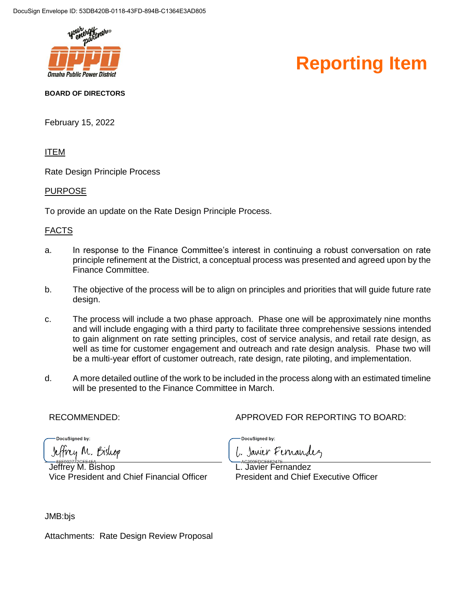

#### **Reporting Item**

#### **BOARD OF DIRECTORS**

February 15, 2022

ITEM

Rate Design Principle Process

#### PURPOSE

To provide an update on the Rate Design Principle Process.

#### FACTS

- a. In response to the Finance Committee's interest in continuing a robust conversation on rate principle refinement at the District, a conceptual process was presented and agreed upon by the Finance Committee.
- b. The objective of the process will be to align on principles and priorities that will guide future rate design.
- c. The process will include a two phase approach. Phase one will be approximately nine months and will include engaging with a third party to facilitate three comprehensive sessions intended to gain alignment on rate setting principles, cost of service analysis, and retail rate design, as well as time for customer engagement and outreach and rate design analysis. Phase two will be a multi-year effort of customer outreach, rate design, rate piloting, and implementation.
- d. A more detailed outline of the work to be included in the process along with an estimated timeline will be presented to the Finance Committee in March.

RECOMMENDED: APPROVED FOR REPORTING TO BOARD:

DocuSianed by:

Jeffrey M. Bishop

Jeffrey M. Bishop Vice President and Chief Financial Officer DocuSianed by:

L. Javier Fernandez

L. Javier Fernandez President and Chief Executive Officer

JMB:bjs

Attachments: Rate Design Review Proposal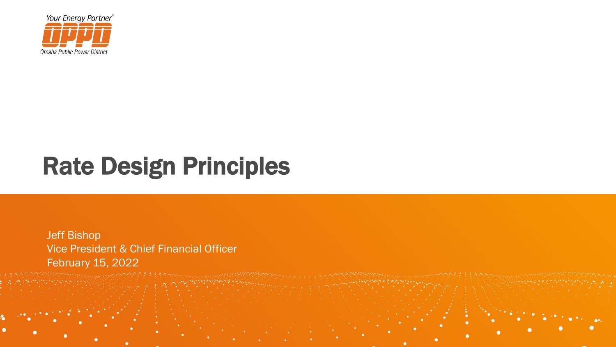

## Rate Design Principles

Jeff Bishop Vice President & Chief Financial Officer February 15, 2022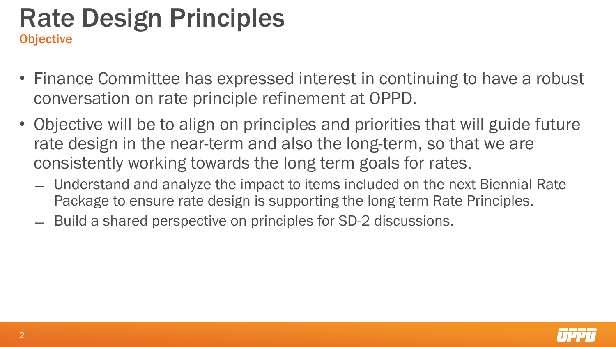## Rate Design Principles **Objective**

- Finance Committee has expressed interest in continuing to have a robust conversation on rate principle refinement at OPPD.
- Objective will be to align on principles and priorities that will guide future rate design in the near-term and also the long-term, so that we are consistently working towards the long term goals for rates.
	- ̶ Understand and analyze the impact to items included on the next Biennial Rate Package to ensure rate design is supporting the long term Rate Principles.
	- ̶ Build a shared perspective on principles for SD-2 discussions.

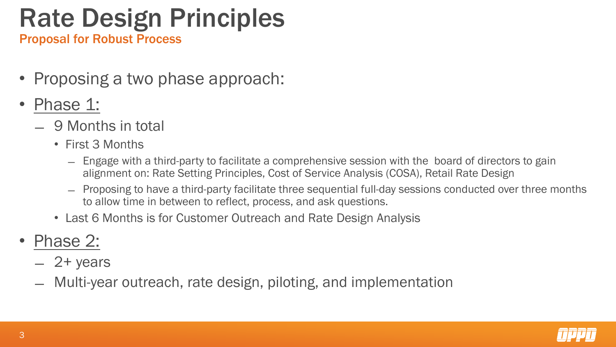## Rate Design Principles

Proposal for Robust Process

- Proposing a two phase approach:
- Phase 1:
	- ̶ 9 Months in total
		- First 3 Months
			- ̶ Engage with a third-party to facilitate a comprehensive session with the board of directors to gain alignment on: Rate Setting Principles, Cost of Service Analysis (COSA), Retail Rate Design
			- ̶ Proposing to have a third-party facilitate three sequential full-day sessions conducted over three months to allow time in between to reflect, process, and ask questions.
		- Last 6 Months is for Customer Outreach and Rate Design Analysis
- Phase 2:
	- $-2+$  years
	- ̶ Multi-year outreach, rate design, piloting, and implementation

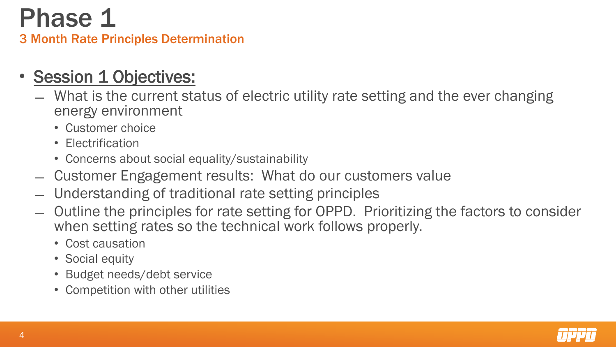### Phase 1 3 Month Rate Principles Determination

#### **Session 1 Objectives:**

- ̶ What is the current status of electric utility rate setting and the ever changing energy environment
	- Customer choice
	- Electrification
	- Concerns about social equality/sustainability
- ̶ Customer Engagement results: What do our customers value
- ̶ Understanding of traditional rate setting principles
- ̶ Outline the principles for rate setting for OPPD. Prioritizing the factors to consider when setting rates so the technical work follows properly.
	- Cost causation
	- Social equity
	- Budget needs/debt service
	- Competition with other utilities

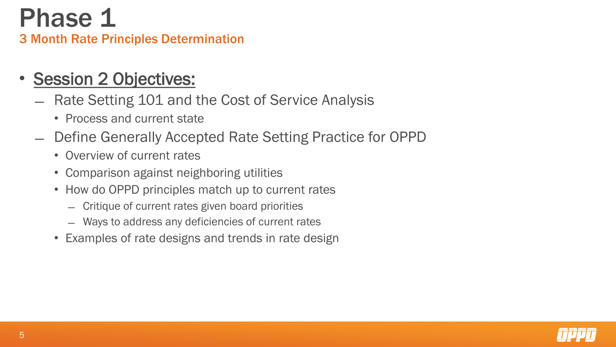## Phase 1 3 Month Rate Principles Determination

- **Session 2 Objectives:** 
	- ̶ Rate Setting 101 and the Cost of Service Analysis
		- Process and current state
	- ̶ Define Generally Accepted Rate Setting Practice for OPPD
		- Overview of current rates
		- Comparison against neighboring utilities
		- How do OPPD principles match up to current rates
			- ̶ Critique of current rates given board priorities
			- ̶ Ways to address any deficiencies of current rates
		- Examples of rate designs and trends in rate design

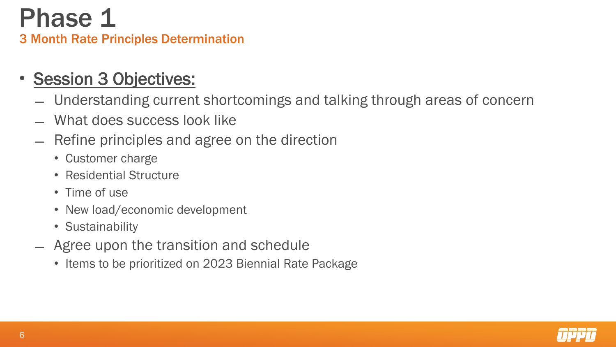## Phase 1 3 Month Rate Principles Determination

### • Session 3 Objectives:

- ̶ Understanding current shortcomings and talking through areas of concern
- ̶ What does success look like
- ̶ Refine principles and agree on the direction
	- Customer charge
	- Residential Structure
	- Time of use
	- New load/economic development
	- Sustainability
- ̶ Agree upon the transition and schedule
	- Items to be prioritized on 2023 Biennial Rate Package

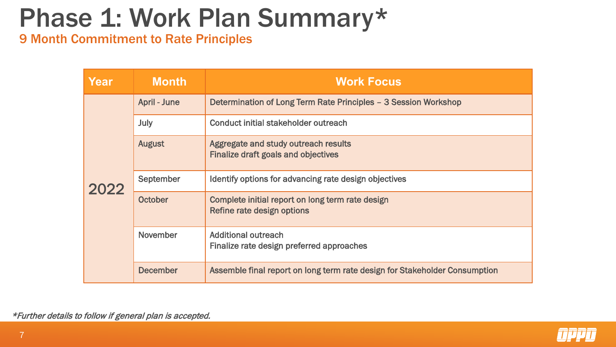# Phase 1: Work Plan Summary\*

9 Month Commitment to Rate Principles

| Year | <b>Month</b>        | <b>Work Focus</b>                                                                  |
|------|---------------------|------------------------------------------------------------------------------------|
| 2022 | <b>April - June</b> | Determination of Long Term Rate Principles - 3 Session Workshop                    |
|      | July                | Conduct initial stakeholder outreach                                               |
|      | <b>August</b>       | Aggregate and study outreach results<br><b>Finalize draft goals and objectives</b> |
|      | September           | Identify options for advancing rate design objectives                              |
|      | October             | Complete initial report on long term rate design<br>Refine rate design options     |
|      | <b>November</b>     | <b>Additional outreach</b><br>Finalize rate design preferred approaches            |
|      | <b>December</b>     | Assemble final report on long term rate design for Stakeholder Consumption         |

\*Further details to follow if general plan is accepted.